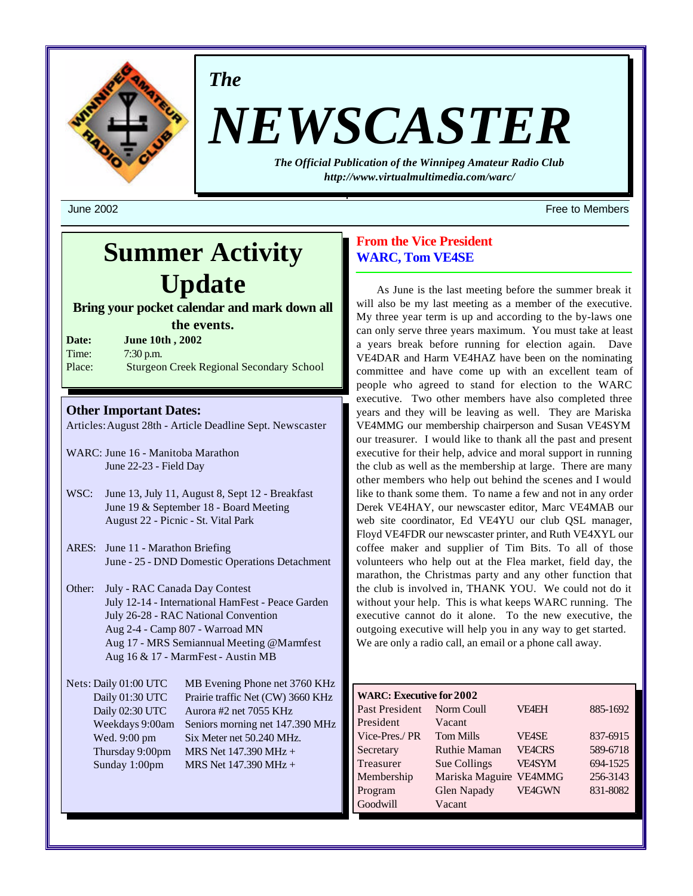

*The*

# *NEWSCASTER*

*The Official Publication of the Winnipeg Amateur Radio Club http://www.virtualmultimedia.com/warc/*

# **Summer Activity Update**

**Bring your pocket calendar and mark down all the events.**

**Date: June 10th , 2002** Time: 7:30 p.m. Place: Sturgeon Creek Regional Secondary School

### **Other Important Dates:**

Articles: August 28th - Article Deadline Sept. Newscaster

- WARC: June 16 Manitoba Marathon June 22-23 - Field Day
- WSC: June 13, July 11, August 8, Sept 12 Breakfast June 19 & September 18 - Board Meeting August 22 - Picnic - St. Vital Park
- ARES: June 11 Marathon Briefing June - 25 - DND Domestic Operations Detachment
- Other: July RAC Canada Day Contest July 12-14 - International HamFest - Peace Garden July 26-28 - RAC National Convention Aug 2-4 - Camp 807 - Warroad MN Aug 17 - MRS Semiannual Meeting @Marmfest Aug 16 & 17 - MarmFest - Austin MB

Nets: Daily 01:00 UTC MB Evening Phone net 3760 KHz Daily 01:30 UTC Prairie traffic Net (CW) 3660 KHz Daily 02:30 UTC Aurora #2 net 7055 KHz Weekdays 9:00am Seniors morning net 147.390 MHz Wed. 9:00 pm Six Meter net 50.240 MHz. Thursday 9:00pm MRS Net  $147.390 \text{ MHz} +$ Sunday 1:00pm MRS Net 147.390 MHz +

# **From the Vice President WARC, Tom VE4SE**

As June is the last meeting before the summer break it will also be my last meeting as a member of the executive. My three year term is up and according to the by-laws one can only serve three years maximum. You must take at least a years break before running for election again. Dave VE4DAR and Harm VE4HAZ have been on the nominating committee and have come up with an excellent team of people who agreed to stand for election to the WARC executive. Two other members have also completed three years and they will be leaving as well. They are Mariska VE4MMG our membership chairperson and Susan VE4SYM our treasurer. I would like to thank all the past and present executive for their help, advice and moral support in running the club as well as the membership at large. There are many other members who help out behind the scenes and I would like to thank some them. To name a few and not in any order Derek VE4HAY, our newscaster editor, Marc VE4MAB our web site coordinator, Ed VE4YU our club QSL manager, Floyd VE4FDR our newscaster printer, and Ruth VE4XYL our coffee maker and supplier of Tim Bits. To all of those volunteers who help out at the Flea market, field day, the marathon, the Christmas party and any other function that the club is involved in, THANK YOU. We could not do it without your help. This is what keeps WARC running. The executive cannot do it alone. To the new executive, the outgoing executive will help you in any way to get started. We are only a radio call, an email or a phone call away.

| <b>WARC: Executive for 2002</b> |                     |               |          |
|---------------------------------|---------------------|---------------|----------|
| Past President                  | Norm Coull          | <b>VF4EH</b>  | 885-1692 |
| President                       | Vacant              |               |          |
| Vice-Pres./PR                   | <b>Tom Mills</b>    | <b>VE4SE</b>  | 837-6915 |
| Secretary                       | <b>Ruthie Maman</b> | <b>VEACRS</b> | 589-6718 |
| Treasurer                       | Sue Collings        | <b>VFASYM</b> | 694-1525 |
| Membership                      | Mariska Maguire     | <b>VE4MMG</b> | 256-3143 |
| Program                         | <b>Glen Napady</b>  | <b>VE4GWN</b> | 831-8082 |
| Goodwill                        | Vacant              |               |          |

June 2002 Free to Members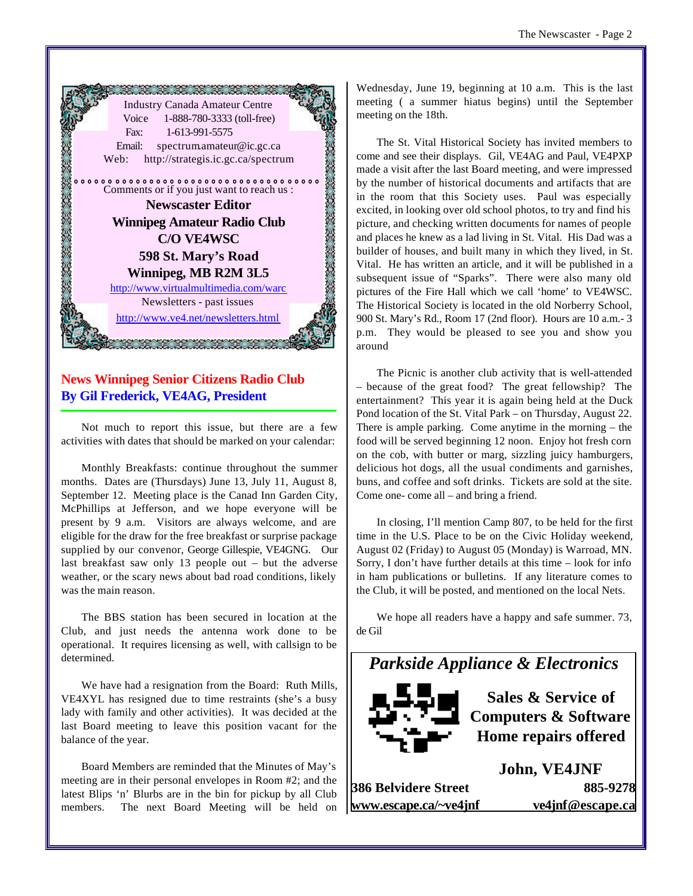

# **News Winnipeg Senior Citizens Radio Club By Gil Frederick, VE4AG, President**

Not much to report this issue, but there are a few activities with dates that should be marked on your calendar:

Monthly Breakfasts: continue throughout the summer months. Dates are (Thursdays) June 13, July 11, August 8, September 12. Meeting place is the Canad Inn Garden City, McPhillips at Jefferson, and we hope everyone will be present by 9 a.m. Visitors are always welcome, and are eligible for the draw for the free breakfast or surprise package supplied by our convenor, George Gillespie, VE4GNG. Our last breakfast saw only 13 people out – but the adverse weather, or the scary news about bad road conditions, likely was the main reason.

The BBS station has been secured in location at the Club, and just needs the antenna work done to be operational. It requires licensing as well, with callsign to be determined.

We have had a resignation from the Board: Ruth Mills, VE4XYL has resigned due to time restraints (she's a busy lady with family and other activities). It was decided at the last Board meeting to leave this position vacant for the balance of the year.

Board Members are reminded that the Minutes of May's meeting are in their personal envelopes in Room #2; and the latest Blips 'n' Blurbs are in the bin for pickup by all Club members. The next Board Meeting will be held on

Wednesday, June 19, beginning at 10 a.m. This is the last meeting ( a summer hiatus begins) until the September meeting on the 18th.

The St. Vital Historical Society has invited members to come and see their displays. Gil, VE4AG and Paul, VE4PXP made a visit after the last Board meeting, and were impressed by the number of historical documents and artifacts that are in the room that this Society uses. Paul was especially excited, in looking over old school photos, to try and find his picture, and checking written documents for names of people and places he knew as a lad living in St. Vital. His Dad was a builder of houses, and built many in which they lived, in St. Vital. He has written an article, and it will be published in a subsequent issue of "Sparks". There were also many old pictures of the Fire Hall which we call 'home' to VE4WSC. The Historical Society is located in the old Norberry School, 900 St. Mary's Rd., Room 17 (2nd floor). Hours are 10 a.m.- 3 p.m. They would be pleased to see you and show you around

The Picnic is another club activity that is well-attended – because of the great food? The great fellowship? The entertainment? This year it is again being held at the Duck Pond location of the St. Vital Park – on Thursday, August 22. There is ample parking. Come anytime in the morning – the food will be served beginning 12 noon. Enjoy hot fresh corn on the cob, with butter or marg, sizzling juicy hamburgers, delicious hot dogs, all the usual condiments and garnishes, buns, and coffee and soft drinks. Tickets are sold at the site. Come one- come all – and bring a friend.

In closing, I'll mention Camp 807, to be held for the first time in the U.S. Place to be on the Civic Holiday weekend, August 02 (Friday) to August 05 (Monday) is Warroad, MN. Sorry, I don't have further details at this time – look for info in ham publications or bulletins. If any literature comes to the Club, it will be posted, and mentioned on the local Nets.

We hope all readers have a happy and safe summer. 73, de Gil



**Sales & Service of Computers & Software Home repairs offered**

**386 Belvidere Street 885-9278 www.escape.ca/~ve4jnf ve4jnf@escape.ca**

**John, VE4JNF**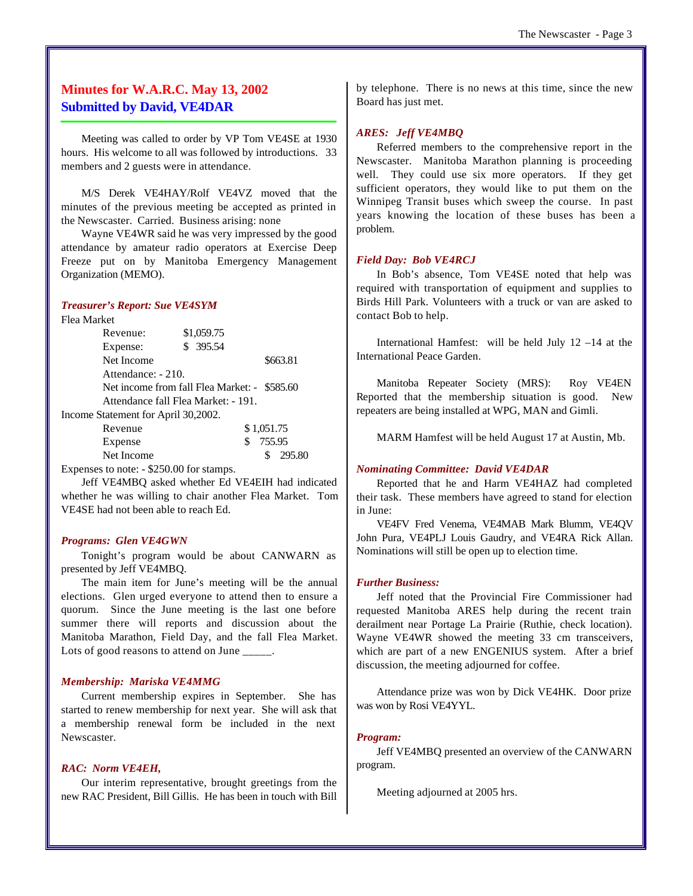# **Minutes for W.A.R.C. May 13, 2002 Submitted by David, VE4DAR**

Meeting was called to order by VP Tom VE4SE at 1930 hours. His welcome to all was followed by introductions. 33 members and 2 guests were in attendance.

M/S Derek VE4HAY/Rolf VE4VZ moved that the minutes of the previous meeting be accepted as printed in the Newscaster. Carried. Business arising: none

Wayne VE4WR said he was very impressed by the good attendance by amateur radio operators at Exercise Deep Freeze put on by Manitoba Emergency Management Organization (MEMO).

#### *Treasurer's Report: Sue VE4SYM*

Flea Market

| Revenue:                            | \$1,059.75                                   |          |
|-------------------------------------|----------------------------------------------|----------|
| Expense:                            | \$ 395.54                                    |          |
| Net Income                          |                                              | \$663.81 |
| Attendance: - 210.                  |                                              |          |
|                                     | Net income from fall Flea Market: - \$585.60 |          |
| Attendance fall Flea Market: - 191. |                                              |          |
| $\cdots$ $\cdots$                   |                                              |          |

Income Statement for April 30,2002.

| Revenue    | \$1,051.75 |
|------------|------------|
| Expense    | \$755.95   |
| Net Income | \$295.80   |
|            |            |

Expenses to note: - \$250.00 for stamps.

Jeff VE4MBQ asked whether Ed VE4EIH had indicated whether he was willing to chair another Flea Market. Tom VE4SE had not been able to reach Ed.

#### *Programs: Glen VE4GWN*

Tonight's program would be about CANWARN as presented by Jeff VE4MBQ.

The main item for June's meeting will be the annual elections. Glen urged everyone to attend then to ensure a quorum. Since the June meeting is the last one before summer there will reports and discussion about the Manitoba Marathon, Field Day, and the fall Flea Market. Lots of good reasons to attend on June  $\qquad \qquad$ .

#### *Membership: Mariska VE4MMG*

Current membership expires in September. She has started to renew membership for next year. She will ask that a membership renewal form be included in the next Newscaster.

#### *RAC: Norm VE4EH,*

Our interim representative, brought greetings from the new RAC President, Bill Gillis. He has been in touch with Bill by telephone. There is no news at this time, since the new Board has just met.

#### *ARES: Jeff VE4MBQ*

Referred members to the comprehensive report in the Newscaster. Manitoba Marathon planning is proceeding well. They could use six more operators. If they get sufficient operators, they would like to put them on the Winnipeg Transit buses which sweep the course. In past years knowing the location of these buses has been a problem.

#### *Field Day: Bob VE4RCJ*

In Bob's absence, Tom VE4SE noted that help was required with transportation of equipment and supplies to Birds Hill Park. Volunteers with a truck or van are asked to contact Bob to help.

International Hamfest: will be held July 12 –14 at the International Peace Garden.

Manitoba Repeater Society (MRS): Roy VE4EN Reported that the membership situation is good. New repeaters are being installed at WPG, MAN and Gimli.

MARM Hamfest will be held August 17 at Austin, Mb.

#### *Nominating Committee: David VE4DAR*

Reported that he and Harm VE4HAZ had completed their task. These members have agreed to stand for election in June:

VE4FV Fred Venema, VE4MAB Mark Blumm, VE4QV John Pura, VE4PLJ Louis Gaudry, and VE4RA Rick Allan. Nominations will still be open up to election time.

#### *Further Business:*

Jeff noted that the Provincial Fire Commissioner had requested Manitoba ARES help during the recent train derailment near Portage La Prairie (Ruthie, check location). Wayne VE4WR showed the meeting 33 cm transceivers, which are part of a new ENGENIUS system. After a brief discussion, the meeting adjourned for coffee.

Attendance prize was won by Dick VE4HK. Door prize was won by Rosi VE4YYL.

#### *Program:*

Jeff VE4MBQ presented an overview of the CANWARN program.

Meeting adjourned at 2005 hrs.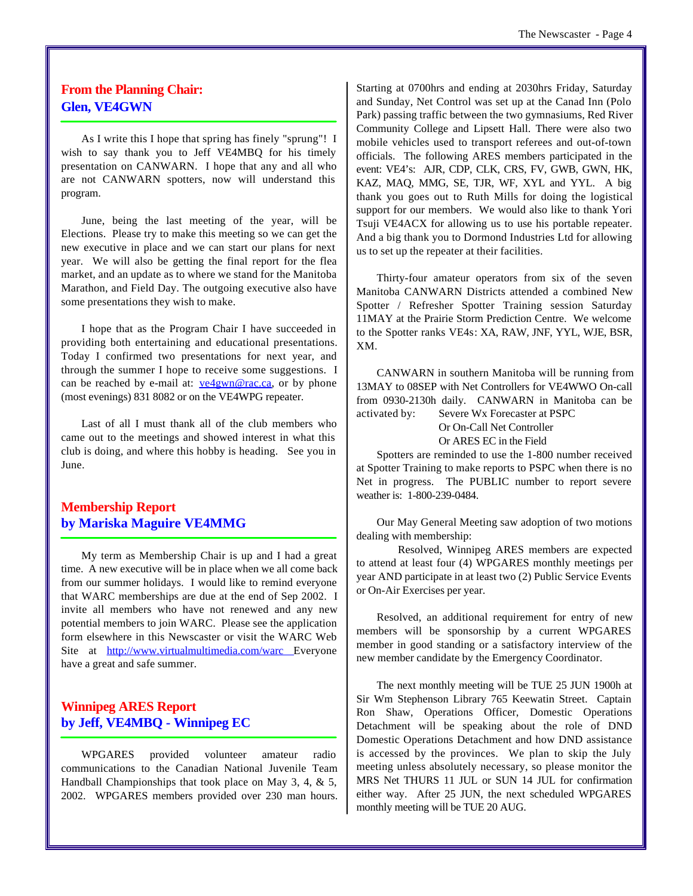# **From the Planning Chair: Glen, VE4GWN**

As I write this I hope that spring has finely "sprung"! I wish to say thank you to Jeff VE4MBQ for his timely presentation on CANWARN. I hope that any and all who are not CANWARN spotters, now will understand this program.

June, being the last meeting of the year, will be Elections. Please try to make this meeting so we can get the new executive in place and we can start our plans for next year. We will also be getting the final report for the flea market, and an update as to where we stand for the Manitoba Marathon, and Field Day. The outgoing executive also have some presentations they wish to make.

I hope that as the Program Chair I have succeeded in providing both entertaining and educational presentations. Today I confirmed two presentations for next year, and through the summer I hope to receive some suggestions. I can be reached by e-mail at:  $vefgwn@rac.ca$ , or by phone</u> (most evenings) 831 8082 or on the VE4WPG repeater.

Last of all I must thank all of the club members who came out to the meetings and showed interest in what this club is doing, and where this hobby is heading. See you in June.

# **Membership Report by Mariska Maguire VE4MMG**

My term as Membership Chair is up and I had a great time. A new executive will be in place when we all come back from our summer holidays. I would like to remind everyone that WARC memberships are due at the end of Sep 2002. I invite all members who have not renewed and any new potential members to join WARC. Please see the application form elsewhere in this Newscaster or visit the WARC Web Site at http://www.virtualmultimedia.com/warc Everyone have a great and safe summer.

# **Winnipeg ARES Report by Jeff, VE4MBQ - Winnipeg EC**

WPGARES provided volunteer amateur radio communications to the Canadian National Juvenile Team Handball Championships that took place on May 3, 4, & 5, 2002. WPGARES members provided over 230 man hours.

Starting at 0700hrs and ending at 2030hrs Friday, Saturday and Sunday, Net Control was set up at the Canad Inn (Polo Park) passing traffic between the two gymnasiums, Red River Community College and Lipsett Hall. There were also two mobile vehicles used to transport referees and out-of-town officials. The following ARES members participated in the event: VE4's: AJR, CDP, CLK, CRS, FV, GWB, GWN, HK, KAZ, MAQ, MMG, SE, TJR, WF, XYL and YYL. A big thank you goes out to Ruth Mills for doing the logistical support for our members. We would also like to thank Yori Tsuji VE4ACX for allowing us to use his portable repeater. And a big thank you to Dormond Industries Ltd for allowing us to set up the repeater at their facilities.

Thirty-four amateur operators from six of the seven Manitoba CANWARN Districts attended a combined New Spotter / Refresher Spotter Training session Saturday 11MAY at the Prairie Storm Prediction Centre. We welcome to the Spotter ranks VE4s: XA, RAW, JNF, YYL, WJE, BSR, XM.

CANWARN in southern Manitoba will be running from 13MAY to 08SEP with Net Controllers for VE4WWO On-call from 0930-2130h daily. CANWARN in Manitoba can be activated by: Severe Wx Forecaster at PSPC

Or On-Call Net Controller

Or ARES EC in the Field

Spotters are reminded to use the 1-800 number received at Spotter Training to make reports to PSPC when there is no Net in progress. The PUBLIC number to report severe weather is: 1-800-239-0484.

Our May General Meeting saw adoption of two motions dealing with membership:

Resolved, Winnipeg ARES members are expected to attend at least four (4) WPGARES monthly meetings per year AND participate in at least two (2) Public Service Events or On-Air Exercises per year.

Resolved, an additional requirement for entry of new members will be sponsorship by a current WPGARES member in good standing or a satisfactory interview of the new member candidate by the Emergency Coordinator.

The next monthly meeting will be TUE 25 JUN 1900h at Sir Wm Stephenson Library 765 Keewatin Street. Captain Ron Shaw, Operations Officer, Domestic Operations Detachment will be speaking about the role of DND Domestic Operations Detachment and how DND assistance is accessed by the provinces. We plan to skip the July meeting unless absolutely necessary, so please monitor the MRS Net THURS 11 JUL or SUN 14 JUL for confirmation either way. After 25 JUN, the next scheduled WPGARES monthly meeting will be TUE 20 AUG.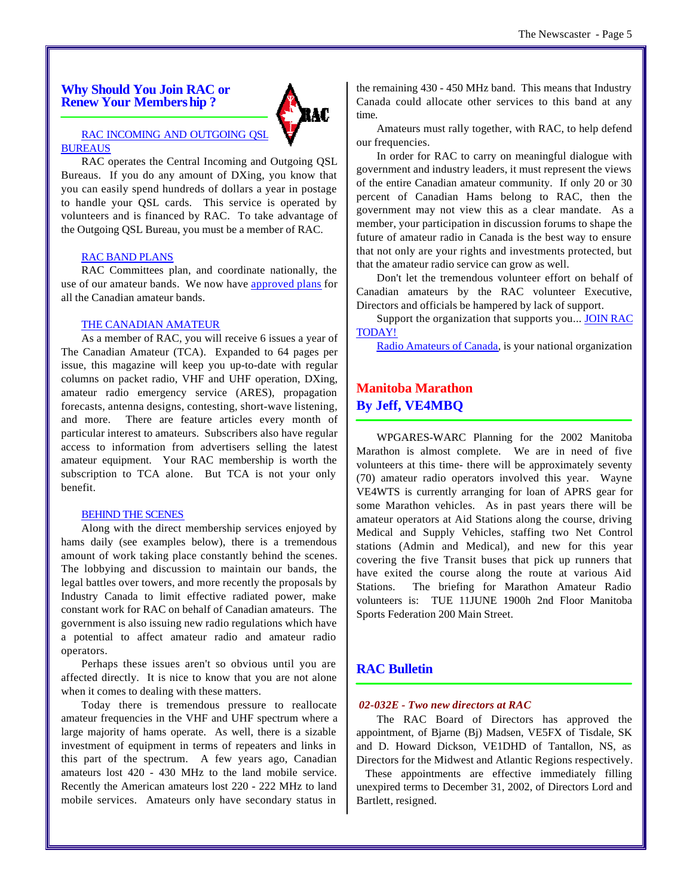**Why Should You Join RAC or Renew Your Membership ?**



#### RAC INCOMING AND OUTGOING QSL BUREAUS

RAC operates the Central Incoming and Outgoing QSL Bureaus. If you do any amount of DXing, you know that you can easily spend hundreds of dollars a year in postage to handle your QSL cards. This service is operated by volunteers and is financed by RAC. To take advantage of the Outgoing QSL Bureau, you must be a member of RAC.

#### RAC BAND PLANS

RAC Committees plan, and coordinate nationally, the use of our amateur bands. We now have approved plans for all the Canadian amateur bands.

#### THE CANADIAN AMATEUR

As a member of RAC, you will receive 6 issues a year of The Canadian Amateur (TCA). Expanded to 64 pages per issue, this magazine will keep you up-to-date with regular columns on packet radio, VHF and UHF operation, DXing, amateur radio emergency service (ARES), propagation forecasts, antenna designs, contesting, short-wave listening, and more. There are feature articles every month of particular interest to amateurs. Subscribers also have regular access to information from advertisers selling the latest amateur equipment. Your RAC membership is worth the subscription to TCA alone. But TCA is not your only benefit.

#### BEHIND THE SCENES

Along with the direct membership services enjoyed by hams daily (see examples below), there is a tremendous amount of work taking place constantly behind the scenes. The lobbying and discussion to maintain our bands, the legal battles over towers, and more recently the proposals by Industry Canada to limit effective radiated power, make constant work for RAC on behalf of Canadian amateurs. The government is also issuing new radio regulations which have a potential to affect amateur radio and amateur radio operators.

Perhaps these issues aren't so obvious until you are affected directly. It is nice to know that you are not alone when it comes to dealing with these matters.

Today there is tremendous pressure to reallocate amateur frequencies in the VHF and UHF spectrum where a large majority of hams operate. As well, there is a sizable investment of equipment in terms of repeaters and links in this part of the spectrum. A few years ago, Canadian amateurs lost 420 - 430 MHz to the land mobile service. Recently the American amateurs lost 220 - 222 MHz to land mobile services. Amateurs only have secondary status in

the remaining 430 - 450 MHz band. This means that Industry Canada could allocate other services to this band at any time.

Amateurs must rally together, with RAC, to help defend our frequencies.

In order for RAC to carry on meaningful dialogue with government and industry leaders, it must represent the views of the entire Canadian amateur community. If only 20 or 30 percent of Canadian Hams belong to RAC, then the government may not view this as a clear mandate. As a member, your participation in discussion forums to shape the future of amateur radio in Canada is the best way to ensure that not only are your rights and investments protected, but that the amateur radio service can grow as well.

Don't let the tremendous volunteer effort on behalf of Canadian amateurs by the RAC volunteer Executive, Directors and officials be hampered by lack of support.

Support the organization that supports you... JOIN RAC TODAY!

Radio Amateurs of Canada, is your national organization

# **Manitoba Marathon By Jeff, VE4MBQ**

WPGARES-WARC Planning for the 2002 Manitoba Marathon is almost complete. We are in need of five volunteers at this time- there will be approximately seventy (70) amateur radio operators involved this year. Wayne VE4WTS is currently arranging for loan of APRS gear for some Marathon vehicles. As in past years there will be amateur operators at Aid Stations along the course, driving Medical and Supply Vehicles, staffing two Net Control stations (Admin and Medical), and new for this year covering the five Transit buses that pick up runners that have exited the course along the route at various Aid Stations. The briefing for Marathon Amateur Radio volunteers is: TUE 11JUNE 1900h 2nd Floor Manitoba Sports Federation 200 Main Street.

#### **RAC Bulletin**

#### *02-032E - Two new directors at RAC*

The RAC Board of Directors has approved the appointment, of Bjarne (Bj) Madsen, VE5FX of Tisdale, SK and D. Howard Dickson, VE1DHD of Tantallon, NS, as Directors for the Midwest and Atlantic Regions respectively.

 These appointments are effective immediately filling unexpired terms to December 31, 2002, of Directors Lord and Bartlett, resigned.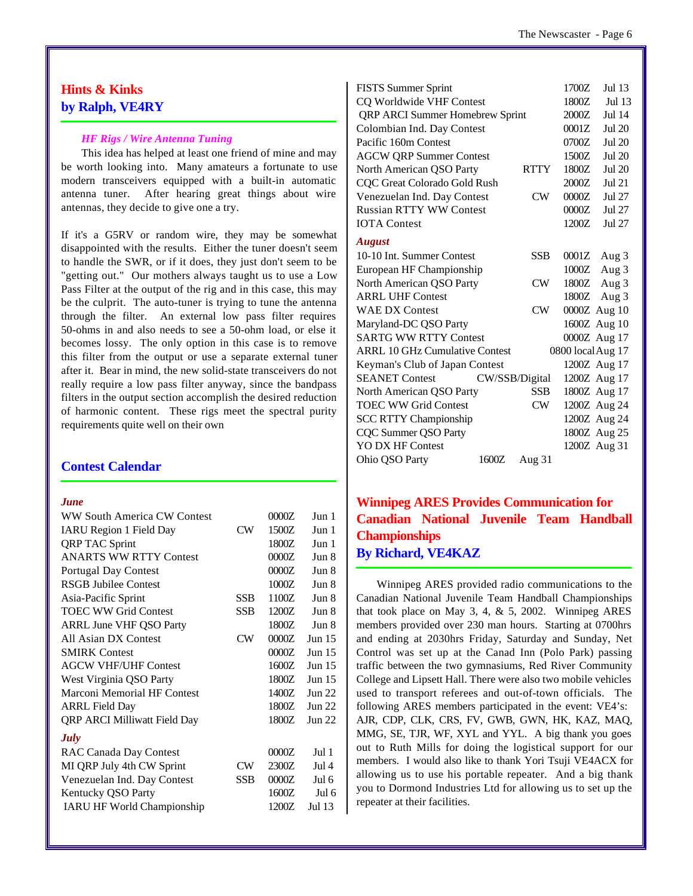# **Hints & Kinks by Ralph, VE4RY**

#### *HF Rigs / Wire Antenna Tuning*

This idea has helped at least one friend of mine and may be worth looking into. Many amateurs a fortunate to use modern transceivers equipped with a built-in automatic antenna tuner. After hearing great things about wire antennas, they decide to give one a try.

If it's a G5RV or random wire, they may be somewhat disappointed with the results. Either the tuner doesn't seem to handle the SWR, or if it does, they just don't seem to be "getting out." Our mothers always taught us to use a Low Pass Filter at the output of the rig and in this case, this may be the culprit. The auto-tuner is trying to tune the antenna through the filter. An external low pass filter requires 50-ohms in and also needs to see a 50-ohm load, or else it becomes lossy. The only option in this case is to remove this filter from the output or use a separate external tuner after it. Bear in mind, the new solid-state transceivers do not really require a low pass filter anyway, since the bandpass filters in the output section accomplish the desired reduction of harmonic content. These rigs meet the spectral purity requirements quite well on their own

### **Contest Calendar**

#### *June*

| WW South America CW Contest         |            | 0000Z | Jun 1            |
|-------------------------------------|------------|-------|------------------|
| <b>IARU Region 1 Field Day</b>      | CW         | 1500Z | Jun 1            |
| <b>QRP TAC Sprint</b>               |            | 1800Z | Jun 1            |
| <b>ANARTS WW RTTY Contest</b>       |            | 0000Z | Jun 8            |
| <b>Portugal Day Contest</b>         |            | 0000Z | Jun 8            |
| <b>RSGB Jubilee Contest</b>         |            | 1000Z | Jun 8            |
| Asia-Pacific Sprint                 | <b>SSB</b> | 1100Z | Jun 8            |
| <b>TOEC WW Grid Contest</b>         | <b>SSB</b> | 1200Z | Jun 8            |
| <b>ARRL June VHF QSO Party</b>      |            | 1800Z | Jun 8            |
| All Asian DX Contest                | CW         | 0000Z | Jun 15           |
| <b>SMIRK Contest</b>                |            | 0000Z | Jun 15           |
| <b>AGCW VHF/UHF Contest</b>         |            | 1600Z | Jun $15$         |
| West Virginia QSO Party             |            | 1800Z | Jun 15           |
| Marconi Memorial HF Contest         |            | 1400Z | $\text{Jun } 22$ |
| <b>ARRL Field Day</b>               |            | 1800Z | Jun 22           |
| <b>QRP ARCI Milliwatt Field Day</b> |            | 1800Z | Jun 22           |
| <b>July</b>                         |            |       |                  |
| <b>RAC Canada Day Contest</b>       |            | 0000Z | Jul <sub>1</sub> |
| MI QRP July 4th CW Sprint           | CW         | 2300Z | Jul 4            |
| Venezuelan Ind. Day Contest         | <b>SSB</b> | 0000Z | Jul 6            |
| Kentucky QSO Party                  |            | 1600Z | Jul 6            |
| <b>IARU HF World Championship</b>   |            | 1200Z | Jul 13           |

|                                                                                                                                                                                   | 1700Z                                                       | Jul 13            |
|-----------------------------------------------------------------------------------------------------------------------------------------------------------------------------------|-------------------------------------------------------------|-------------------|
|                                                                                                                                                                                   | 1800Z                                                       | Jul 13            |
|                                                                                                                                                                                   | 2000Z                                                       | Jul 14            |
|                                                                                                                                                                                   | 0001Z                                                       | <b>Jul 20</b>     |
|                                                                                                                                                                                   | 0700Z                                                       | Jul 20            |
|                                                                                                                                                                                   | 1500Z                                                       | Jul 20            |
| <b>RTTY</b>                                                                                                                                                                       | 1800Z                                                       | <b>Jul 20</b>     |
|                                                                                                                                                                                   | 2000Z                                                       | $Jul$ 21          |
| CW                                                                                                                                                                                | 0000Z                                                       | Jul 27            |
|                                                                                                                                                                                   | 0000Z                                                       | Jul 27            |
|                                                                                                                                                                                   | 1200Z                                                       | Jul 27            |
|                                                                                                                                                                                   |                                                             |                   |
| <b>SSB</b>                                                                                                                                                                        | 0001Z                                                       | Aug 3             |
|                                                                                                                                                                                   | 1000Z                                                       | Aug 3             |
| CW                                                                                                                                                                                | 1800Z                                                       | Aug $3$           |
|                                                                                                                                                                                   | 1800Z                                                       | Aug 3             |
| CW                                                                                                                                                                                |                                                             | 0000Z Aug 10      |
|                                                                                                                                                                                   |                                                             | 1600Z Aug 10      |
|                                                                                                                                                                                   |                                                             | 0000Z Aug 17      |
|                                                                                                                                                                                   |                                                             |                   |
|                                                                                                                                                                                   |                                                             | 1200Z Aug 17      |
|                                                                                                                                                                                   |                                                             | 1200Z Aug 17      |
| <b>SSB</b>                                                                                                                                                                        |                                                             | 1800Z Aug 17      |
| CW                                                                                                                                                                                |                                                             | 1200Z Aug 24      |
|                                                                                                                                                                                   |                                                             | 1200Z Aug 24      |
|                                                                                                                                                                                   |                                                             | 1800Z Aug 25      |
|                                                                                                                                                                                   |                                                             | 1200Z Aug 31      |
|                                                                                                                                                                                   |                                                             |                   |
| <b>AGCW QRP Summer Contest</b><br>CQC Great Colorado Gold Rush<br>Venezuelan Ind. Day Contest<br><b>ARRL 10 GHz Cumulative Contest</b><br>Keyman's Club of Japan Contest<br>1600Z | QRP ARCI Summer Homebrew Sprint<br>CW/SSB/Digital<br>Aug 31 | 0800 local Aug 17 |

**Winnipeg ARES Provides Communication for Canadian National Juvenile Team Handball Championships By Richard, VE4KAZ**

Winnipeg ARES provided radio communications to the Canadian National Juvenile Team Handball Championships that took place on May 3, 4, & 5, 2002. Winnipeg ARES members provided over 230 man hours. Starting at 0700hrs and ending at 2030hrs Friday, Saturday and Sunday, Net Control was set up at the Canad Inn (Polo Park) passing traffic between the two gymnasiums, Red River Community College and Lipsett Hall. There were also two mobile vehicles used to transport referees and out-of-town officials. The following ARES members participated in the event: VE4's: AJR, CDP, CLK, CRS, FV, GWB, GWN, HK, KAZ, MAQ, MMG, SE, TJR, WF, XYL and YYL. A big thank you goes out to Ruth Mills for doing the logistical support for our members. I would also like to thank Yori Tsuji VE4ACX for allowing us to use his portable repeater. And a big thank you to Dormond Industries Ltd for allowing us to set up the repeater at their facilities.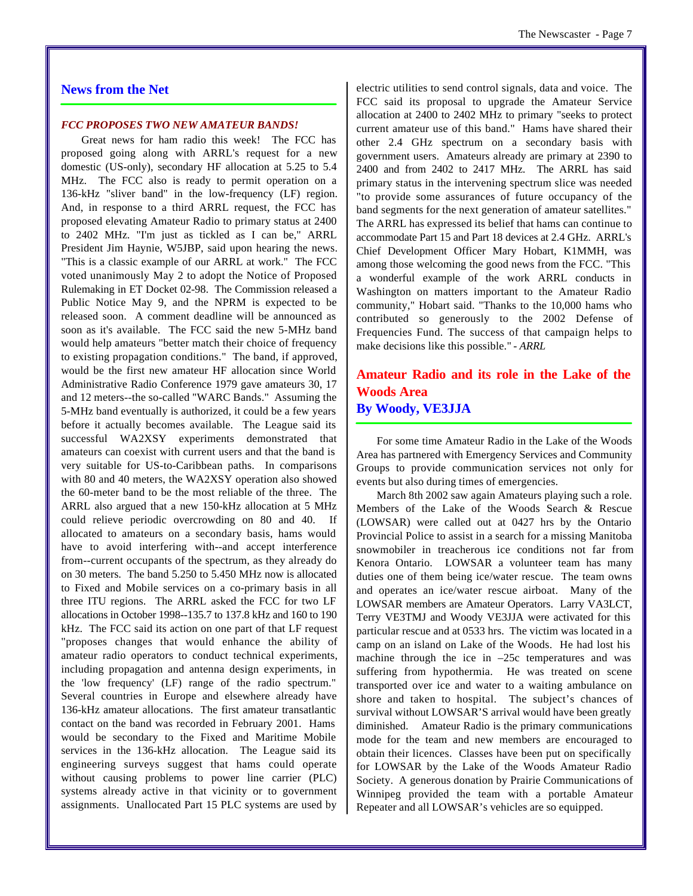### **News from the Net**

#### *FCC PROPOSES TWO NEW AMATEUR BANDS!*

Great news for ham radio this week! The FCC has proposed going along with ARRL's request for a new domestic (US-only), secondary HF allocation at 5.25 to 5.4 MHz. The FCC also is ready to permit operation on a 136-kHz "sliver band" in the low-frequency (LF) region. And, in response to a third ARRL request, the FCC has proposed elevating Amateur Radio to primary status at 2400 to 2402 MHz. "I'm just as tickled as I can be," ARRL President Jim Haynie, W5JBP, said upon hearing the news. "This is a classic example of our ARRL at work." The FCC voted unanimously May 2 to adopt the Notice of Proposed Rulemaking in ET Docket 02-98. The Commission released a Public Notice May 9, and the NPRM is expected to be released soon. A comment deadline will be announced as soon as it's available. The FCC said the new 5-MHz band would help amateurs "better match their choice of frequency to existing propagation conditions." The band, if approved, would be the first new amateur HF allocation since World Administrative Radio Conference 1979 gave amateurs 30, 17 and 12 meters--the so-called "WARC Bands." Assuming the 5-MHz band eventually is authorized, it could be a few years before it actually becomes available. The League said its successful WA2XSY experiments demonstrated that amateurs can coexist with current users and that the band is very suitable for US-to-Caribbean paths. In comparisons with 80 and 40 meters, the WA2XSY operation also showed the 60-meter band to be the most reliable of the three. The ARRL also argued that a new 150-kHz allocation at 5 MHz could relieve periodic overcrowding on 80 and 40. If allocated to amateurs on a secondary basis, hams would have to avoid interfering with--and accept interference from--current occupants of the spectrum, as they already do on 30 meters. The band 5.250 to 5.450 MHz now is allocated to Fixed and Mobile services on a co-primary basis in all three ITU regions. The ARRL asked the FCC for two LF allocations in October 1998--135.7 to 137.8 kHz and 160 to 190 kHz. The FCC said its action on one part of that LF request "proposes changes that would enhance the ability of amateur radio operators to conduct technical experiments, including propagation and antenna design experiments, in the 'low frequency' (LF) range of the radio spectrum." Several countries in Europe and elsewhere already have 136-kHz amateur allocations. The first amateur transatlantic contact on the band was recorded in February 2001. Hams would be secondary to the Fixed and Maritime Mobile services in the 136-kHz allocation. The League said its engineering surveys suggest that hams could operate without causing problems to power line carrier (PLC) systems already active in that vicinity or to government assignments. Unallocated Part 15 PLC systems are used by

electric utilities to send control signals, data and voice. The FCC said its proposal to upgrade the Amateur Service allocation at 2400 to 2402 MHz to primary "seeks to protect current amateur use of this band." Hams have shared their other 2.4 GHz spectrum on a secondary basis with government users. Amateurs already are primary at 2390 to 2400 and from 2402 to 2417 MHz. The ARRL has said primary status in the intervening spectrum slice was needed "to provide some assurances of future occupancy of the band segments for the next generation of amateur satellites." The ARRL has expressed its belief that hams can continue to accommodate Part 15 and Part 18 devices at 2.4 GHz. ARRL's Chief Development Officer Mary Hobart, K1MMH, was among those welcoming the good news from the FCC. "This a wonderful example of the work ARRL conducts in Washington on matters important to the Amateur Radio community," Hobart said. "Thanks to the 10,000 hams who contributed so generously to the 2002 Defense of Frequencies Fund. The success of that campaign helps to make decisions like this possible." *- ARRL*

# **Amateur Radio and its role in the Lake of the Woods Area By Woody, VE3JJA**

For some time Amateur Radio in the Lake of the Woods Area has partnered with Emergency Services and Community Groups to provide communication services not only for events but also during times of emergencies.

March 8th 2002 saw again Amateurs playing such a role. Members of the Lake of the Woods Search & Rescue (LOWSAR) were called out at 0427 hrs by the Ontario Provincial Police to assist in a search for a missing Manitoba snowmobiler in treacherous ice conditions not far from Kenora Ontario. LOWSAR a volunteer team has many duties one of them being ice/water rescue. The team owns and operates an ice/water rescue airboat. Many of the LOWSAR members are Amateur Operators. Larry VA3LCT, Terry VE3TMJ and Woody VE3JJA were activated for this particular rescue and at 0533 hrs. The victim was located in a camp on an island on Lake of the Woods. He had lost his machine through the ice in –25c temperatures and was suffering from hypothermia. He was treated on scene transported over ice and water to a waiting ambulance on shore and taken to hospital. The subject's chances of survival without LOWSAR'S arrival would have been greatly diminished. Amateur Radio is the primary communications mode for the team and new members are encouraged to obtain their licences. Classes have been put on specifically for LOWSAR by the Lake of the Woods Amateur Radio Society. A generous donation by Prairie Communications of Winnipeg provided the team with a portable Amateur Repeater and all LOWSAR's vehicles are so equipped.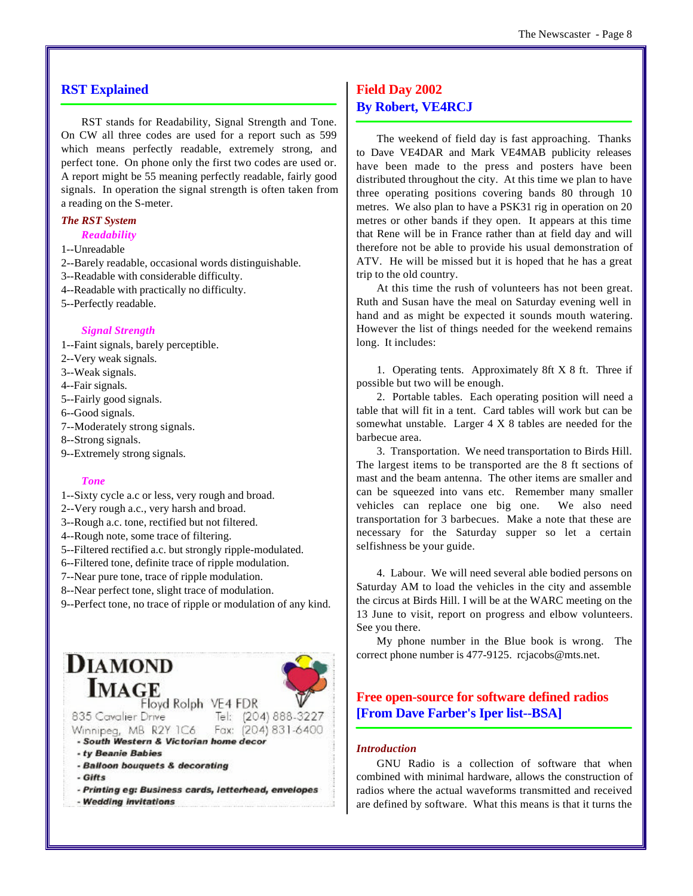#### **RST Explained**

RST stands for Readability, Signal Strength and Tone. On CW all three codes are used for a report such as 599 which means perfectly readable, extremely strong, and perfect tone. On phone only the first two codes are used or. A report might be 55 meaning perfectly readable, fairly good signals. In operation the signal strength is often taken from a reading on the S-meter.

#### *The RST System Readability*

- 
- 1--Unreadable
- 2--Barely readable, occasional words distinguishable.
- 3--Readable with considerable difficulty.
- 4--Readable with practically no difficulty.
- 5--Perfectly readable.

#### *Signal Strength*

- 1--Faint signals, barely perceptible.
- 2--Very weak signals.
- 3--Weak signals.
- 4--Fair signals.
- 5--Fairly good signals.
- 6--Good signals.
- 7--Moderately strong signals.
- 8--Strong signals.
- 9--Extremely strong signals.

#### *Tone*

- 1--Sixty cycle a.c or less, very rough and broad.
- 2--Very rough a.c., very harsh and broad.
- 3--Rough a.c. tone, rectified but not filtered.
- 4--Rough note, some trace of filtering.
- 5--Filtered rectified a.c. but strongly ripple-modulated.
- 6--Filtered tone, definite trace of ripple modulation.
- 7--Near pure tone, trace of ripple modulation.
- 8--Near perfect tone, slight trace of modulation.
- 9--Perfect tone, no trace of ripple or modulation of any kind.



# **Field Day 2002 By Robert, VE4RCJ**

The weekend of field day is fast approaching. Thanks to Dave VE4DAR and Mark VE4MAB publicity releases have been made to the press and posters have been distributed throughout the city. At this time we plan to have three operating positions covering bands 80 through 10 metres. We also plan to have a PSK31 rig in operation on 20 metres or other bands if they open. It appears at this time that Rene will be in France rather than at field day and will therefore not be able to provide his usual demonstration of ATV. He will be missed but it is hoped that he has a great trip to the old country.

At this time the rush of volunteers has not been great. Ruth and Susan have the meal on Saturday evening well in hand and as might be expected it sounds mouth watering. However the list of things needed for the weekend remains long. It includes:

1. Operating tents. Approximately 8ft X 8 ft. Three if possible but two will be enough.

2. Portable tables. Each operating position will need a table that will fit in a tent. Card tables will work but can be somewhat unstable. Larger 4 X 8 tables are needed for the barbecue area.

3. Transportation. We need transportation to Birds Hill. The largest items to be transported are the 8 ft sections of mast and the beam antenna. The other items are smaller and can be squeezed into vans etc. Remember many smaller vehicles can replace one big one. We also need transportation for 3 barbecues. Make a note that these are necessary for the Saturday supper so let a certain selfishness be your guide.

4. Labour. We will need several able bodied persons on Saturday AM to load the vehicles in the city and assemble the circus at Birds Hill. I will be at the WARC meeting on the 13 June to visit, report on progress and elbow volunteers. See you there.

My phone number in the Blue book is wrong. The correct phone number is 477-9125. rcjacobs@mts.net.

# **Free open-source for software defined radios [From Dave Farber's Iper list--BSA]**

#### *Introduction*

GNU Radio is a collection of software that when combined with minimal hardware, allows the construction of radios where the actual waveforms transmitted and received are defined by software. What this means is that it turns the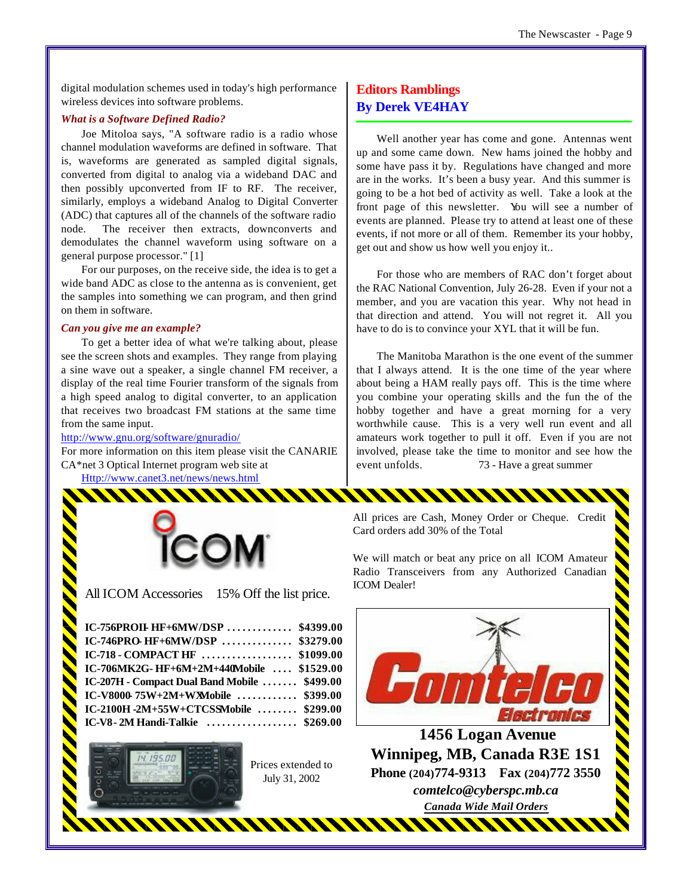digital modulation schemes used in today's high performance wireless devices into software problems.

#### *What is a Software Defined Radio?*

Joe Mitoloa says, "A software radio is a radio whose channel modulation waveforms are defined in software. That is, waveforms are generated as sampled digital signals, converted from digital to analog via a wideband DAC and then possibly upconverted from IF to RF. The receiver, similarly, employs a wideband Analog to Digital Converter (ADC) that captures all of the channels of the software radio node. The receiver then extracts, downconverts and demodulates the channel waveform using software on a general purpose processor." [1]

For our purposes, on the receive side, the idea is to get a wide band ADC as close to the antenna as is convenient, get the samples into something we can program, and then grind on them in software.

#### *Can you give me an example?*

To get a better idea of what we're talking about, please see the screen shots and examples. They range from playing a sine wave out a speaker, a single channel FM receiver, a display of the real time Fourier transform of the signals from a high speed analog to digital converter, to an application that receives two broadcast FM stations at the same time from the same input.

#### http://www.gnu.org/software/gnuradio/

For more information on this item please visit the CANARIE CA\*net 3 Optical Internet program web site at

Http://www.canet3.net/news/news.html



All ICOM Accessories 15% Off the list price.

| IC-756PROIL HF+6MW/DSP \$4399.00             |  |
|----------------------------------------------|--|
| IC-746PRO-HF+6MW/DSP \$3279.00               |  |
| IC-718 - COMPACT HF  \$1099.00               |  |
| IC-706MK2G- HF+6M+2M+440Mobile  \$1529.00    |  |
| IC-207H - Compact Dual Band Mobile  \$499.00 |  |
| IC-V8000-75W+2M+WXMobile  \$399.00           |  |
| IC-2100H -2M+55W+CTCSSMobile  \$299.00       |  |
| IC-V8 - 2M Handi-Talkie  \$269.00            |  |
|                                              |  |



Prices extended to July 31, 2002

# **Editors Ramblings By Derek VE4HAY**

Well another year has come and gone. Antennas went up and some came down. New hams joined the hobby and some have pass it by. Regulations have changed and more are in the works. It's been a busy year. And this summer is going to be a hot bed of activity as well. Take a look at the front page of this newsletter. You will see a number of events are planned. Please try to attend at least one of these events, if not more or all of them. Remember its your hobby, get out and show us how well you enjoy it..

For those who are members of RAC don't forget about the RAC National Convention, July 26-28. Even if your not a member, and you are vacation this year. Why not head in that direction and attend. You will not regret it. All you have to do is to convince your XYL that it will be fun.

The Manitoba Marathon is the one event of the summer that I always attend. It is the one time of the year where about being a HAM really pays off. This is the time where you combine your operating skills and the fun the of the hobby together and have a great morning for a very worthwhile cause. This is a very well run event and all amateurs work together to pull it off. Even if you are not involved, please take the time to monitor and see how the event unfolds. 73 - Have a great summer

All prices are Cash, Money Order or Cheque. Credit Card orders add 30% of the Total

We will match or beat any price on all ICOM Amateur Radio Transceivers from any Authorized Canadian ICOM Dealer!



 **1456 Logan Avenue Winnipeg, MB, Canada R3E 1S1 Phone (204) 774-9313 Fax (204) 772 3550** *comtelco@cyberspc.mb.ca Canada Wide Mail Orders*